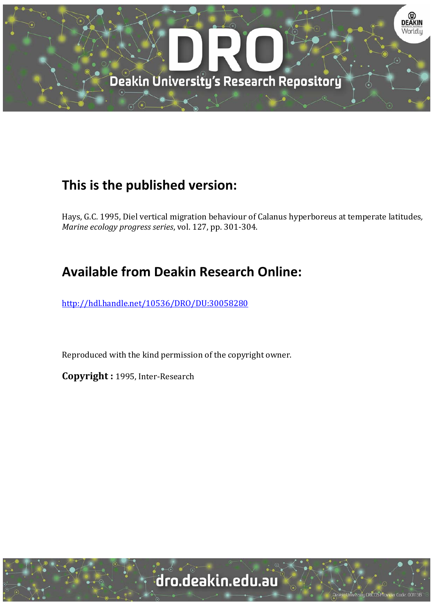

## **This is the published version:**

Hays, G.C. 1995, Diel vertical migration behaviour of Calanus hyperboreus at temperate latitudes, *Marine ecology progress series, vol.* 127, pp. 301-304.

# **Available from Deakin Research Online:**

http://hdl.handle.net/10536/DRO/DU:30058280

Reproduced with the kind permission of the copyright owner.

**Copyright :** 1995, Inter‐Research 

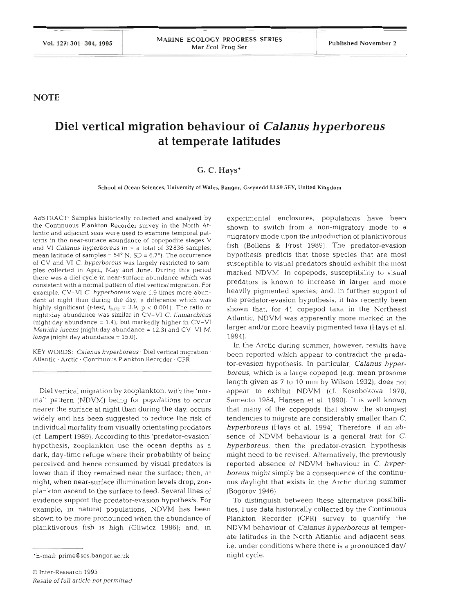**NOTE** 

## **Diel vertical migration behaviour of** *Calanus hyperboreus*  **at temperate latitudes**

### *G.* **C. Hays\***

**School of Ocean Sciences, University of Wales. Bangor, Gwynedd LLS9 SEY, United Kingdom** 

ABSTRACT. Samples historically collected and analysed by the Continuous Plankton Recorder survey in the North Atlantic and adjacent seas were used to examine temporal patterns in the near-surface abundance of copepodite stages V and V1 *Calanus hyperboreus* (n = a total of 32836 samples; mean latitude of samples = **54"** N. SD = 6.7'). The occurrence of CV and V1 *C. hyperboreus* was largely restricted to samples collected in April, May and June. During this period there was a diel cycle in near-surface abundance which was consistent with a normal pattern of diel vertical migration. For example, CV-V1 C. *hyperboreus* were 1.9 times more abundant at night than during the day, a difference which was highly significant (t-test,  $t_{5072} = 3.9$ ,  $p < 0.001$ ). The ratio of night:day abundance was similar in CV-VI *C. finmarchicus* (night:day abundance = 1.4), but markedly higher in CV-V1 *Metridia lucens* (night:day abundance = 12.3) and CV-VI M. *longa* (night:day abundance = 15.0).

KEY WORDS: *Calanus hyperboreus* - Diel vertical migration . Atlantic · Arctic · Continuous Plankton Recorder · O

Diel vertical migration by zooplankton, with the 'normal' pattern (NDVM) being for populations to occur nearer the surface at night than during the day, occurs widely and has been suggested to reduce the risk of individual mortality from visually orientating predators (cf. Lampert 1989). According to this 'predator-evasion' hypothesis, zooplankton use the ocean depths as a dark, day-time refuge where their probability of being perceived and hence consumed by visual predators is lower than if they remained near the surface; then, at night, when near-surface illumination levels drop, zooplankton ascend to the surface to feed. Several lines of evidence support the predator-evasion hypothesis. For example, in natural populations, NDVM has been shown to be more pronounced when the abundance of planktivorous fish is high (Gliwicz 1986); and, in

experimental enclosures, populations have been shown to switch from a non-migratory mode to a migratory mode upon the introduction of planktivorous fish (Bollens & Frost 1989). The predator-evasion hypothesis predicts that those species that are most susceptible to visual predators should exhibit the most marked NDVM. In copepods, susceptibility to visual predators is known to increase in larger and more heavily pigmented species; and, in further support of the predator-evasion hypothesis, it has recently been shown that, for 41 copepod taxa in the Northeast Atlantic, NDVM was apparently more marked in the larger and/or more heavily pigmented taxa (Hays et al. 1994).

In the Arctic during summer, however, results have been reported which appear to contradict the predator-evasion hypothesis. In particular, *Calanus hyperboreus,* which is a large copepod (e.g. mean prosome length given as 7 to 10 mm by Wilson 1932), does not appear to exhibit NDVM (cf. Kosobokova 1978, Sameoto 1984, Hansen et al. 1990). It is well known that many of the copepods that show the strongest tendencies to migrate are considerably smaller than *C. hyperboreus* (Hays et al. 1994). Therefore, if an absence of NDVM behaviour is a general trait for *C. hyperboreus,* then the predator-evasion hypothesis might need to be revised. Alternatively, the previously reported absence of NDVM behaviour in C. *hyperboreus* might simply be a consequence of the continuous daylight that exists in the Arctic during summer (Bogorov 1946).

To distinguish between these alternative possibilities, I use data historically collected by the Continuous Plankton Recorder (CPR) survey to quantify the NDVM behaviour of *Calanus hyperboreus* at temperate latitudes in the North Atlantic and adjacent seas, i.e. under conditions where there is a pronounced day/ night cycle.

<sup>&#</sup>x27;E-mail: prime@sos.bangor.ac.uk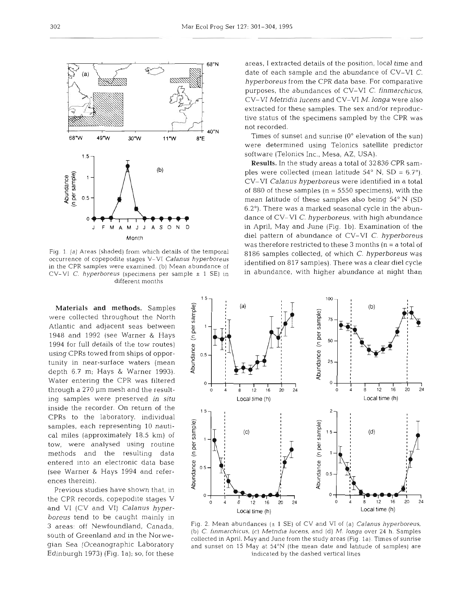

Fig. 1. (a) Areas (shaded) from which details of the temporal occurrence of copepodite stages V-V1 Calanus hyperboreus in the CPR samples were examined. (b) Mean abundance of CV-VI C. hyperboreus (specimens per sample  $\pm$  1 SE) in different months

Materials **and** methods. Samples were collected throughout the North Atlantic and adjacent seas between 1948 and 1992 (see Warner & Hays 1994 for full details of the tow routes) using CPRs towed from ships of opportunity in near-surface waters (mean depth 6.7 m; Hays & Warner 1993). Water entering the CPR was filtered through a 270 µm mesh and the resulting samples were preserved *in situ*  inside the recorder. On return of the CPRs to the laboratory, individual samples, each representing 10 nautical miles (approximately 18.5 km) of tow, were analysed using routine methods and the resulting data entered into an electronic data base (see Warner & Hays 1994 and references therein).

Previous studies have shown that, in the CPR records, copepodite stages V and V1 (CV and VI) *Calanus hyperboreus* tend to be caught mainly in 3 areas: off Newfoundland, Canada, south of Greenland and in the Norwegian Sea (Oceanographic Laboratory Edinburgh 1973) (Fig. 1a); so, for these areas, I extracted details of the position, local time and date of each sample and the abundance of CV-V1 C. *hyperboreus* from the CPR data base. For comparative purposes, the abundances of CV-V1 *C. finmarchicus,*  CV-V1 *Metridia lucens* and CV-V1 *M. longa* were also extracted for these samples. The sex and/or reproductive status of the specimens sampled by the CPR was not recorded.

Times of sunset and sunrise  $(0^{\circ}$  elevation of the sun) were determined using Telonics satellite predictor software (Telonics Inc., Mesa, AZ, USA).

Results. In the study areas a total of 32836 CPR samples were collected (mean latitude  $54^{\circ}$  N, SD =  $6.7^{\circ}$ ). CV-V1 *Calanus hyperboreus* were identified in a total of 880 of these samples ( $n = 5550$  specimens), with the mean latitude of these samples also being 54" N (SD 6.2"). There was a marked seasonal cycle in the abundance of CV-V1 *C. hyperboreus,* with high abundance in April, May and June (Fig. Ib). Examination of the diel pattern of abundance of CV-V1 C. *hyperboreus*  was therefore restricted to these 3 months (n = a total of 8186 samples collected, of which C. *hyperboreus* was identified on 817 samples). There was a clear diel cycle in abundance, with higher abundance at night than



Fig. 2. Mean abundances ( $\pm$  1 SE) of CV and VI of (a) Calanus hyperboreus, (b) C. finmarchicus, (c) Metridia lucens, and (d) M. longa over 24 h. Samples collected in April, May and June from the study areas (Fig. la). Times of sunrise and sunset on 15 May at **54"N** (the mean date and latitude of samples) are indicated by the dashed vertical lines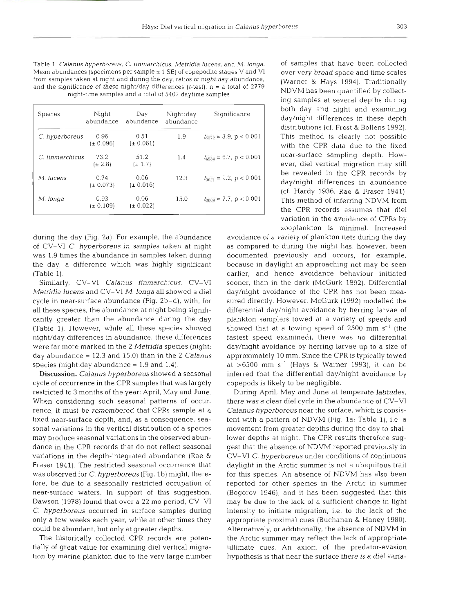Table 1 *Calanus hyperboreus, C. finmarchicus, Metridia lucens,* and *M. longa.*  Mean abundances (specimens per sample  $\pm$  1 SE) of copepodite stages V and VI from samples taken at night and during the day, ratios of night:day abundance, and the significance of these night/day differences (t-test).  $n = a$  total of 2779 night-time samples and a total of 5407 daytime samples

| Species         | Night<br>abundance    | Day<br>abundance      | Night:day<br>abundance | Significance                 |
|-----------------|-----------------------|-----------------------|------------------------|------------------------------|
| C. hyperboreus  | 0.96<br>$(\pm 0.096)$ | 0.51<br>$(\pm 0.061)$ | 1.9                    | $t_{5072} = 3.9$ , p < 0.001 |
| C. finmarchicus | 73.2<br>$(\pm 2.8)$   | 51.2<br>$(\pm 1.7)$   | 1.4                    | $t_{49B4} = 6.7$ , p < 0.001 |
| M. lucens       | 0.74<br>$(\pm 0.073)$ | 0.06<br>$(\pm 0.016)$ | 12.3                   | $t_{3031} = 9.2$ , p < 0.001 |
| M. longa        | 0.93<br>$(\pm 0.109)$ | 0.06<br>$(\pm 0.022)$ | 15.0                   | $t_{3009}$ = 7.7, p < 0.001  |

during the day (Fig. 2a). For example, the abundance of CV-V1 C. *hyperboreus* in samples taken at night was 1.9 times the abundance in samples taken during the day, a difference which was highly significant (Table 1).

Similarly, CV-V1 *Calanus finmarchicus,* CV-V1 *Metridia lucens* and CV-V1 *M. longa* all showed a diel cycle in near-surface abundance (Fig. 2b-d), with, for all these species, the abundance at night being significantly greater than the abundance during the day (Table 1). However, while all these species showed night/day differences in abundance, these differences were far more marked in the 2 *Metridia* species (night: day abundance = 12.3 and 15.0) than in the 2 *Calanus*  species (night:day abundance  $= 1.9$  and  $1.4$ ).

Discussion. *Calanus hyperboreus* showed a seasonal cycle of occurrence in the CPR samples that was largely restricted to 3 months of the year: April, May and June. When considering such seasonal patterns of occurrence, it must be remembered that CPRs sample at a fixed near-surface depth, and, as a consequence, seasonal variations in the vertical distribution of a species may produce seasonal variations in the observed abundance in the CPR records that do not reflect seasonal variations in the depth-integrated abundance (Rae & Fraser 1941). The restricted seasonal occurrence that was observed for C. *hyperboreus* (Fig. l b) might, therefore, be due to a seasonally restricted occupation of near-surface waters. In support of this suggestion, Dawson (1978) found that over a 22 mo period, CV-V1 *C. hyperboreus* occurred in surface samples during only a few weeks each year, while at other times they could be abundant, but only at greater depths.

The historically collected CPR records are potentially of great value for examining diel vertical migration by marine plankton due to the very large number

of samples that have been collected over very broad space and time scales (Warner & Hays 1994). Traditionally NDVM has been quantified by collecting samples at several depths during both day and night and examining day/night differences in these depth distributions (cf. Frost & Bollens 1992). This method is clearly not possible with the CPR data due to the fixed near-surface sampling depth. However, diel vertical migration may still be revealed in the CPR records by<br>day/night differences in abundance (cf. Hardv 1936. Rae & Fraser 1941). zooplankton is minimal. Increased This method of inferring NDVM from the CPR records assumes that diel variation in the avoidance of CPRs by

avoidance of a variety of plankton nets during the day as compared to during the night has, however, been documented previously and occurs, for example, because in daylight an approaching net may be seen earlier, and hence avoidance behaviour initiated sooner, than in the dark (McGurk 1992). Differential day/night avoidance of the CPR has not been measured directly. However, McGurk (1992) modelled the differential day/night avoidance by herring larvae of plankton samplers towed at a variety of speeds and showed that at a towing speed of  $2500$  mm s<sup>-1</sup> (the fastest speed examined), there was no differential day/night avoidance by herring larvae up to a size of approximately 10 mm. Since the CPR is typically towed at  $>6500$  mm s<sup>-1</sup> (Hays & Warner 1993), it can be inferred that the differential day/night avoidance by copepods is likely to be negligible.

During April, May and June at temperate latitudes, there was a clear diel cycle in the abundance of CV-V1 *Calanus hyperboreus* near the surface, which is consistent with a pattern of NDVM (Fig. la; Table l), i.e. a movement from greater depths during the day to shallower depths at night. The CPR results therefore suggest that the absence of NDVM reported previously in CV-V1 *C. hyperboreus* under conditions of continuous daylight in the Arctic summer is not a ubiquitous trait for this species. An absence of NDVM has also been reported for other species in the Arctic in summer (Bogorov 1946), and it has been suggested that this may be due to the lack of a sufficient change in light intensity to initiate migration, i.e. to the lack of the appropriate proximal cues (Buchanan & Haney 1980). Alternatively, or additionally, the absence of NDVM in the Arctic summer may reflect the lack of appropriate ultimate cues. An axiom of the predator-evasion hypothesis is that near the surface there is a diel varia-